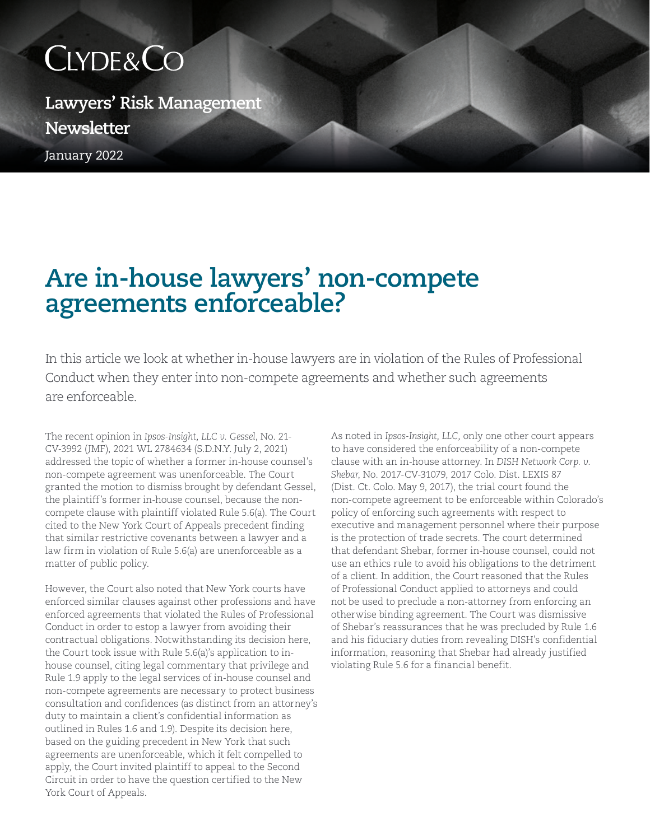## CLYDE&CO

January 2022 **Lawyers' Risk Management Newsletter**

## **Are in-house lawyers' non-compete agreements enforceable?**

In this article we look at whether in-house lawyers are in violation of the Rules of Professional Conduct when they enter into non-compete agreements and whether such agreements are enforceable.

The recent opinion in *Ipsos-Insight, LLC v. Gessel*, No. 21- CV-3992 (JMF), 2021 WL 2784634 (S.D.N.Y. July 2, 2021) addressed the topic of whether a former in-house counsel's non-compete agreement was unenforceable. The Court granted the motion to dismiss brought by defendant Gessel, the plaintiff's former in-house counsel, because the noncompete clause with plaintiff violated Rule 5.6(a). The Court cited to the New York Court of Appeals precedent finding that similar restrictive covenants between a lawyer and a law firm in violation of Rule 5.6(a) are unenforceable as a matter of public policy.

However, the Court also noted that New York courts have enforced similar clauses against other professions and have enforced agreements that violated the Rules of Professional Conduct in order to estop a lawyer from avoiding their contractual obligations. Notwithstanding its decision here, the Court took issue with Rule 5.6(a)'s application to inhouse counsel, citing legal commentary that privilege and Rule 1.9 apply to the legal services of in-house counsel and non-compete agreements are necessary to protect business consultation and confidences (as distinct from an attorney's duty to maintain a client's confidential information as outlined in Rules 1.6 and 1.9). Despite its decision here, based on the guiding precedent in New York that such agreements are unenforceable, which it felt compelled to apply, the Court invited plaintiff to appeal to the Second Circuit in order to have the question certified to the New York Court of Appeals.

As noted in *Ipsos-Insight, LLC,* only one other court appears to have considered the enforceability of a non-compete clause with an in-house attorney. In *DISH Network Corp. v. Shebar*, No. 2017-CV-31079, 2017 Colo. Dist. LEXIS 87 (Dist. Ct. Colo. May 9, 2017), the trial court found the non-compete agreement to be enforceable within Colorado's policy of enforcing such agreements with respect to executive and management personnel where their purpose is the protection of trade secrets. The court determined that defendant Shebar, former in-house counsel, could not use an ethics rule to avoid his obligations to the detriment of a client. In addition, the Court reasoned that the Rules of Professional Conduct applied to attorneys and could not be used to preclude a non-attorney from enforcing an otherwise binding agreement. The Court was dismissive of Shebar's reassurances that he was precluded by Rule 1.6 and his fiduciary duties from revealing DISH's confidential information, reasoning that Shebar had already justified violating Rule 5.6 for a financial benefit.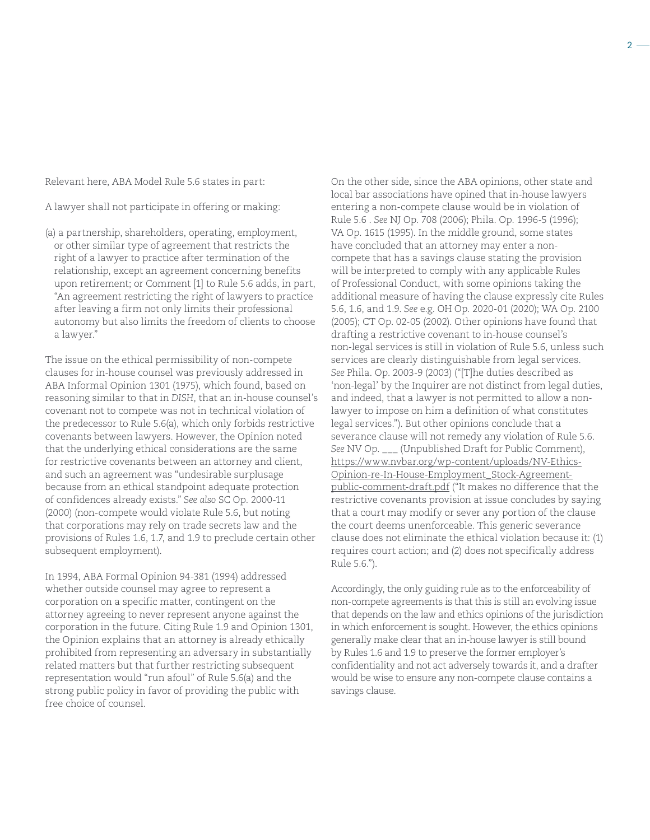Relevant here, ABA Model Rule 5.6 states in part:

A lawyer shall not participate in offering or making:

(a) a partnership, shareholders, operating, employment, or other similar type of agreement that restricts the right of a lawyer to practice after termination of the relationship, except an agreement concerning benefits upon retirement; or Comment [1] to Rule 5.6 adds, in part, "An agreement restricting the right of lawyers to practice after leaving a firm not only limits their professional autonomy but also limits the freedom of clients to choose a lawyer."

The issue on the ethical permissibility of non-compete clauses for in-house counsel was previously addressed in ABA Informal Opinion 1301 (1975), which found, based on reasoning similar to that in *DISH*, that an in-house counsel's covenant not to compete was not in technical violation of the predecessor to Rule 5.6(a), which only forbids restrictive covenants between lawyers. However, the Opinion noted that the underlying ethical considerations are the same for restrictive covenants between an attorney and client, and such an agreement was "undesirable surplusage because from an ethical standpoint adequate protection of confidences already exists." *See also* SC Op. 2000-11 (2000) (non-compete would violate Rule 5.6, but noting that corporations may rely on trade secrets law and the provisions of Rules 1.6, 1.7, and 1.9 to preclude certain other subsequent employment).

In 1994, ABA Formal Opinion 94-381 (1994) addressed whether outside counsel may agree to represent a corporation on a specific matter, contingent on the attorney agreeing to never represent anyone against the corporation in the future. Citing Rule 1.9 and Opinion 1301, the Opinion explains that an attorney is already ethically prohibited from representing an adversary in substantially related matters but that further restricting subsequent representation would "run afoul" of Rule 5.6(a) and the strong public policy in favor of providing the public with free choice of counsel.

On the other side, since the ABA opinions, other state and local bar associations have opined that in-house lawyers entering a non-compete clause would be in violation of Rule 5.6 . *See* NJ Op. 708 (2006); Phila. Op. 1996-5 (1996); VA Op. 1615 (1995). In the middle ground, some states have concluded that an attorney may enter a noncompete that has a savings clause stating the provision will be interpreted to comply with any applicable Rules of Professional Conduct, with some opinions taking the additional measure of having the clause expressly cite Rules 5.6, 1.6, and 1.9. *See* e.g. OH Op. 2020-01 (2020); WA Op. 2100 (2005); CT Op. 02-05 (2002). Other opinions have found that drafting a restrictive covenant to in-house counsel's non-legal services is still in violation of Rule 5.6, unless such services are clearly distinguishable from legal services. *See* Phila. Op. 2003-9 (2003) ("[T]he duties described as 'non-legal' by the Inquirer are not distinct from legal duties, and indeed, that a lawyer is not permitted to allow a nonlawyer to impose on him a definition of what constitutes legal services."). But other opinions conclude that a severance clause will not remedy any violation of Rule 5.6. *See* NV Op. \_\_\_ (Unpublished Draft for Public Comment), [https://www.nvbar.org/wp-content/uploads/NV-Ethics-](https://www.nvbar.org/wp-content/uploads/NV-Ethics-Opinion-re-In-House-Employment_Stock-Agreement-pu)[Opinion-re-In-House-Employment\\_Stock-Agreement](https://www.nvbar.org/wp-content/uploads/NV-Ethics-Opinion-re-In-House-Employment_Stock-Agreement-pu)[public-comment-draft.pdf](https://www.nvbar.org/wp-content/uploads/NV-Ethics-Opinion-re-In-House-Employment_Stock-Agreement-pu) ("It makes no difference that the restrictive covenants provision at issue concludes by saying that a court may modify or sever any portion of the clause the court deems unenforceable. This generic severance clause does not eliminate the ethical violation because it: (1) requires court action; and (2) does not specifically address Rule 5.6.").

Accordingly, the only guiding rule as to the enforceability of non-compete agreements is that this is still an evolving issue that depends on the law and ethics opinions of the jurisdiction in which enforcement is sought. However, the ethics opinions generally make clear that an in-house lawyer is still bound by Rules 1.6 and 1.9 to preserve the former employer's confidentiality and not act adversely towards it, and a drafter would be wise to ensure any non-compete clause contains a savings clause.